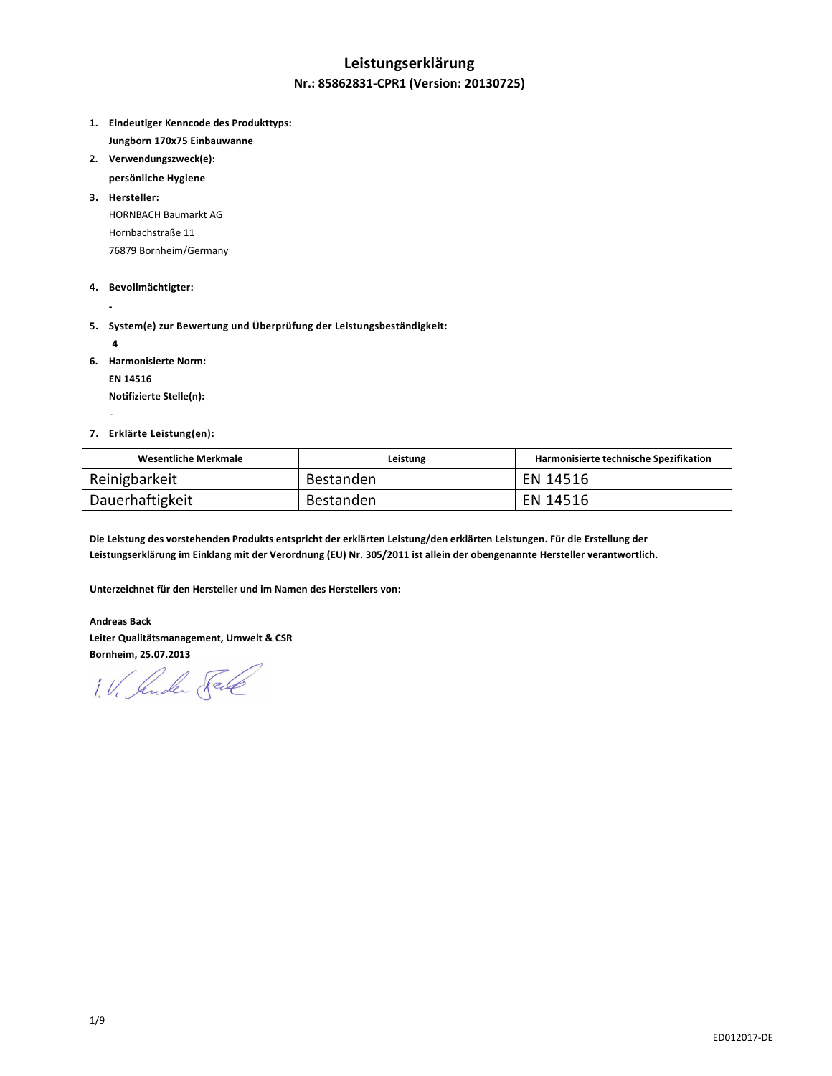# **Leistungserklärung**

## **Nr.: 85862831-CPR1 (Version: 20130725)**

- **1. Eindeutiger Kenncode des Produkttyps: Jungborn 170x75 Einbauwanne**
- **2. Verwendungszweck(e):** 
	- **persönliche Hygiene**
- **3. Hersteller:**  HORNBACH Baumarkt AG Hornbachstraße 11 76879 Bornheim/Germany
- **4. Bevollmächtigter:**
- **5. System(e) zur Bewertung und Überprüfung der Leistungsbeständigkeit:** 
	- **4**

 **-** 

-

- **6. Harmonisierte Norm:** 
	- **EN 14516**

 **Notifizierte Stelle(n):** 

**7. Erklärte Leistung(en):** 

| Wesentliche Merkmale | Leistung  | Harmonisierte technische Spezifikation |
|----------------------|-----------|----------------------------------------|
| Reinigbarkeit        | Bestanden | EN 14516                               |
| Dauerhaftigkeit      | Bestanden | EN 14516                               |

**Die Leistung des vorstehenden Produkts entspricht der erklärten Leistung/den erklärten Leistungen. Für die Erstellung der Leistungserklärung im Einklang mit der Verordnung (EU) Nr. 305/2011 ist allein der obengenannte Hersteller verantwortlich.** 

**Unterzeichnet für den Hersteller und im Namen des Herstellers von:** 

**Andreas Back Leiter Qualitätsmanagement, Umwelt & CSR Bornheim, 25.07.2013** 

1. V. Jude Sel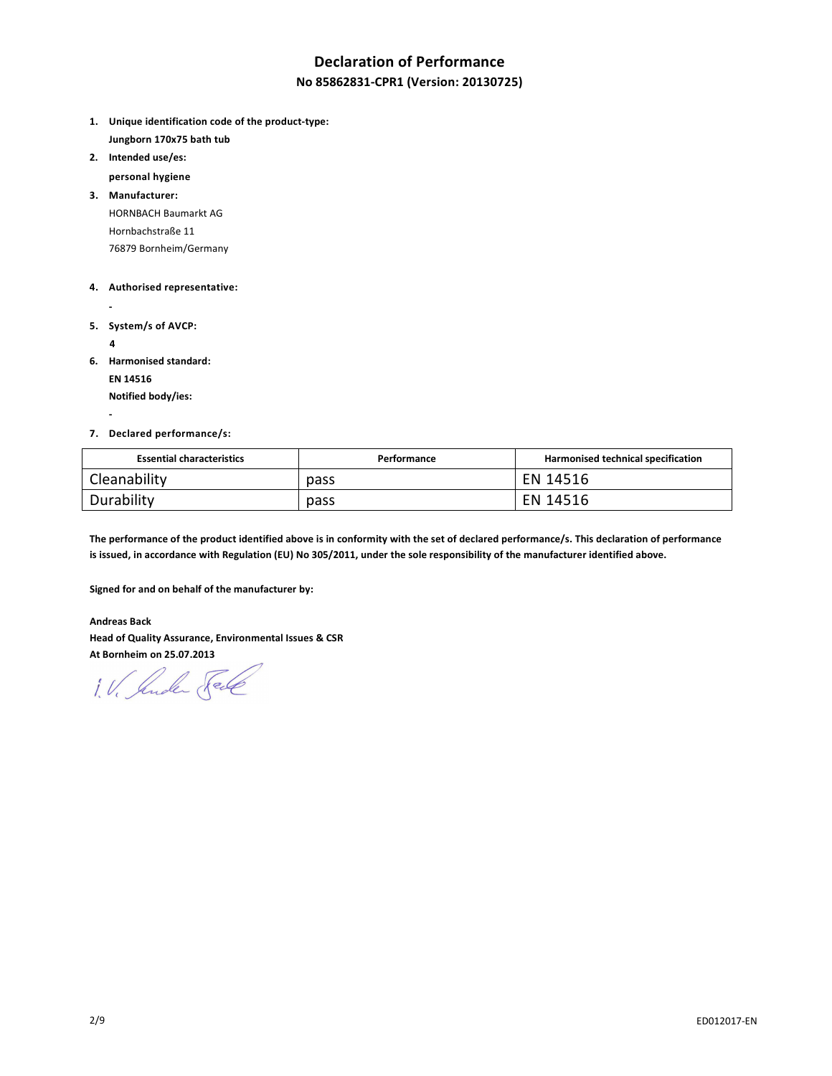# **Declaration of Performance**

### **No 85862831-CPR1 (Version: 20130725)**

- **1. Unique identification code of the product-type: Jungborn 170x75 bath tub**
- **2. Intended use/es:**

 **personal hygiene** 

**3. Manufacturer:**  HORNBACH Baumarkt AG Hornbachstraße 11 76879 Bornheim/Germany

#### **4. Authorised representative:**

- 
- **5. System/s of AVCP:** 
	- **4**

 **-** 

**6. Harmonised standard:** 

 **EN 14516** 

 **Notified body/ies:** 

#### **7. Declared performance/s:**

| <b>Essential characteristics</b> | Performance | Harmonised technical specification |
|----------------------------------|-------------|------------------------------------|
| Cleanability                     | pass        | EN 14516                           |
| Durability                       | pass        | EN 14516                           |

**The performance of the product identified above is in conformity with the set of declared performance/s. This declaration of performance is issued, in accordance with Regulation (EU) No 305/2011, under the sole responsibility of the manufacturer identified above.** 

**Signed for and on behalf of the manufacturer by:** 

**Andreas Back Head of Quality Assurance, Environmental Issues & CSR At Bornheim on 25.07.2013** 

1. V. Suder Sele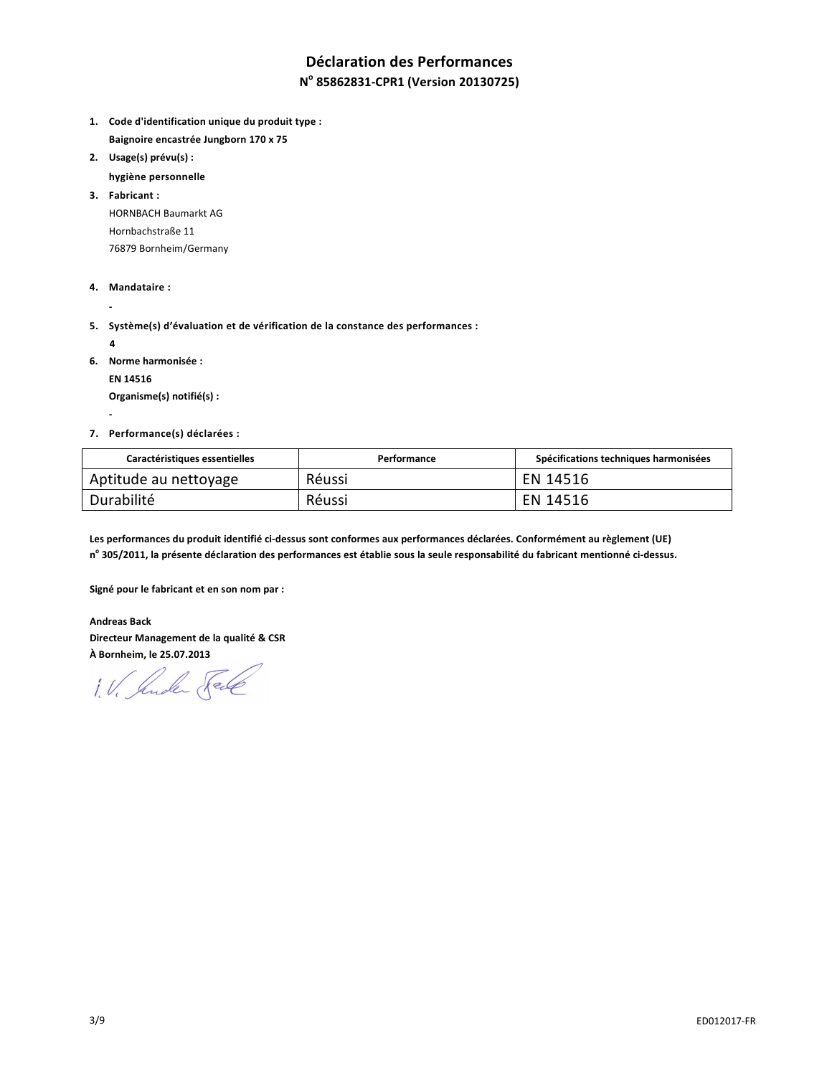# **Déclaration des Performances**

## **N o 85862831-CPR1 (Version 20130725)**

- **1. Code d'identification unique du produit type : Baignoire encastrée Jungborn 170 x 75**
- **2. Usage(s) prévu(s) :** 
	- **hygiène personnelle**

**3. Fabricant :**  HORNBACH Baumarkt AG Hornbachstraße 11 76879 Bornheim/Germany

- **4. Mandataire :**
- **5. Système(s) d'évaluation et de vérification de la constance des performances :** 
	- **4**

 **-** 

 **-** 

**6. Norme harmonisée :** 

 **EN 14516** 

 **Organisme(s) notifié(s) :** 

**7. Performance(s) déclarées :** 

| Caractéristiques essentielles | Performance | Spécifications techniques harmonisées |
|-------------------------------|-------------|---------------------------------------|
| Aptitude au nettoyage         | Réussi      | EN 14516                              |
| Durabilité                    | Réussi      | EN 14516                              |

**Les performances du produit identifié ci-dessus sont conformes aux performances déclarées. Conformément au règlement (UE) n o 305/2011, la présente déclaration des performances est établie sous la seule responsabilité du fabricant mentionné ci-dessus.** 

**Signé pour le fabricant et en son nom par :** 

**Andreas Back Directeur Management de la qualité & CSR À Bornheim, le 25.07.2013** 

1. V. Suder Sele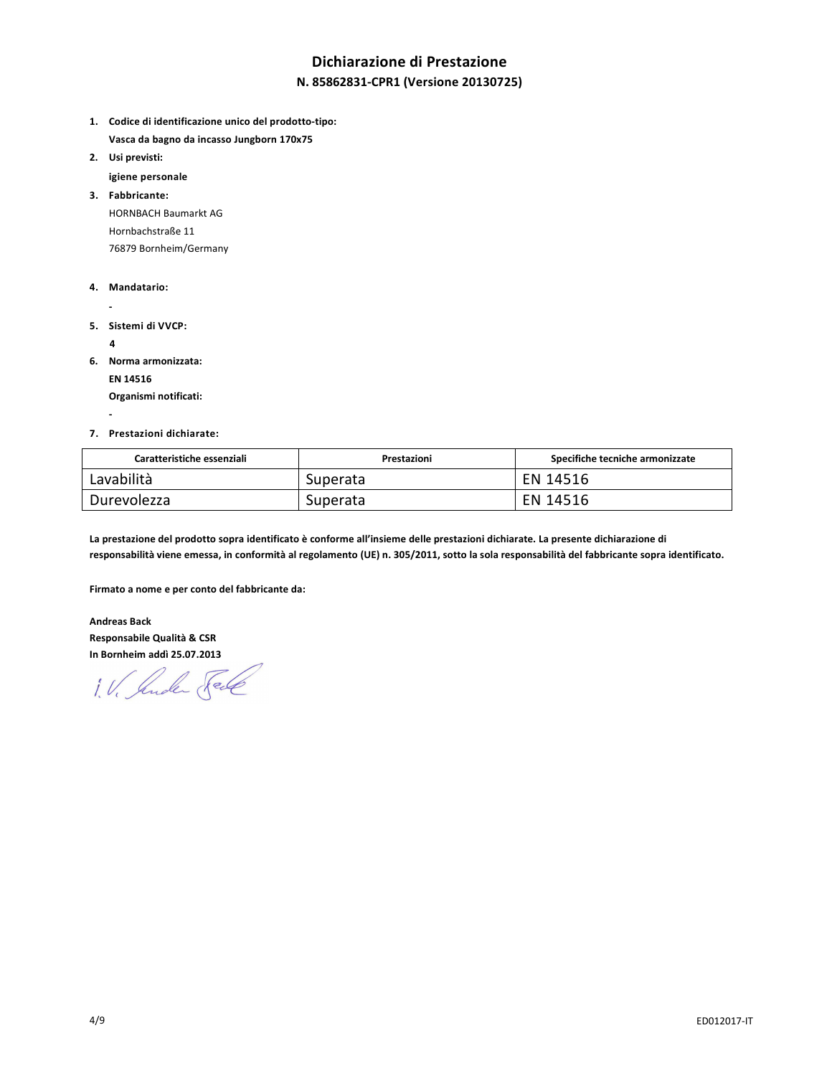# **Dichiarazione di Prestazione**

### **N. 85862831-CPR1 (Versione 20130725)**

- **1. Codice di identificazione unico del prodotto-tipo: Vasca da bagno da incasso Jungborn 170x75**
- **2. Usi previsti:** 
	- **igiene personale**

**3. Fabbricante:**  HORNBACH Baumarkt AG Hornbachstraße 11 76879 Bornheim/Germany

- **4. Mandatario:**
- 
- **5. Sistemi di VVCP:** 
	- **4**

 **-** 

**6. Norma armonizzata:** 

 **EN 14516** 

 **Organismi notificati:** 

#### **7. Prestazioni dichiarate:**

| Caratteristiche essenziali | Prestazioni | Specifiche tecniche armonizzate |
|----------------------------|-------------|---------------------------------|
| Lavabilità                 | Superata    | EN 14516                        |
| Durevolezza                | Superata    | EN 14516                        |

**La prestazione del prodotto sopra identificato è conforme all'insieme delle prestazioni dichiarate. La presente dichiarazione di responsabilità viene emessa, in conformità al regolamento (UE) n. 305/2011, sotto la sola responsabilità del fabbricante sopra identificato.** 

**Firmato a nome e per conto del fabbricante da:** 

**Andreas Back Responsabile Qualità & CSR In Bornheim addì 25.07.2013** 

1. V. Ander Fell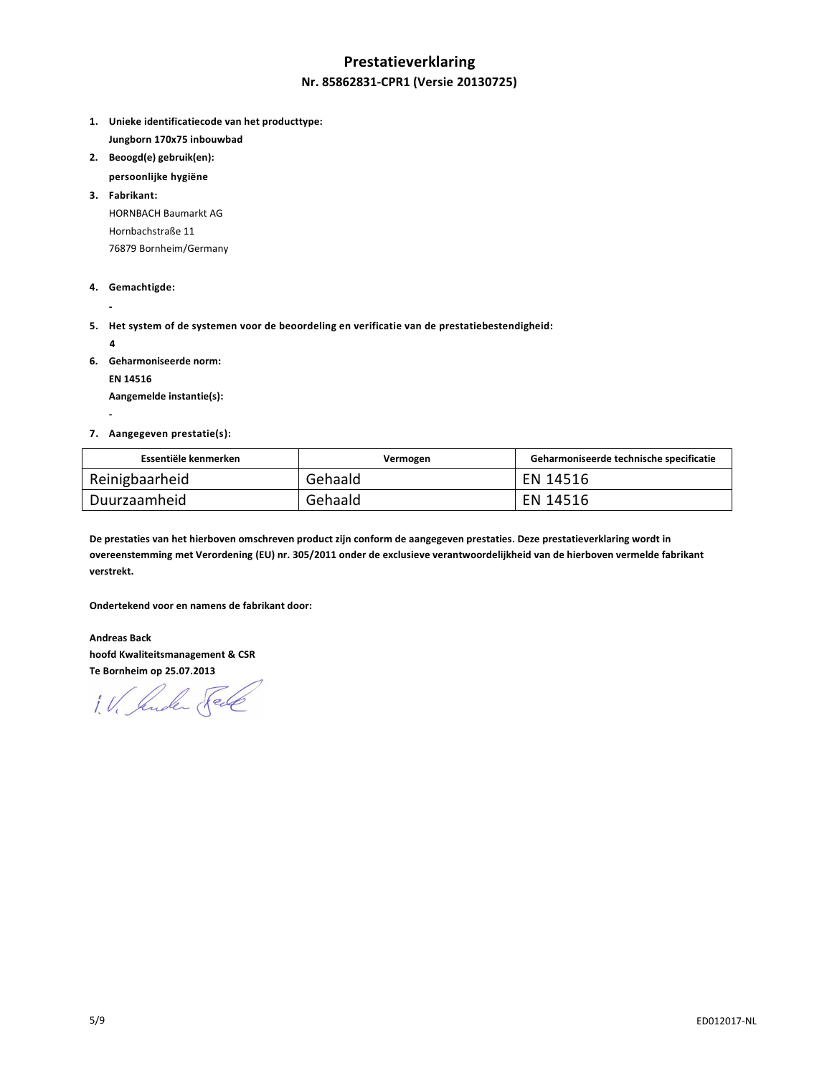# **Prestatieverklaring Nr. 85862831-CPR1 (Versie 20130725)**

- **1. Unieke identificatiecode van het producttype: Jungborn 170x75 inbouwbad**
- **2. Beoogd(e) gebruik(en):**
- **persoonlijke hygiëne**

**3. Fabrikant:**  HORNBACH Baumarkt AG Hornbachstraße 11 76879 Bornheim/Germany

- **4. Gemachtigde:**
- **5. Het system of de systemen voor de beoordeling en verificatie van de prestatiebestendigheid:** 
	- **4**

 **-** 

 **-** 

**6. Geharmoniseerde norm:** 

 **EN 14516** 

 **Aangemelde instantie(s):** 

**7. Aangegeven prestatie(s):** 

| Essentiële kenmerken | Vermogen | Geharmoniseerde technische specificatie |
|----------------------|----------|-----------------------------------------|
| Reinigbaarheid       | Gehaald  | EN 14516                                |
| Duurzaamheid         | Gehaald  | EN 14516                                |

**De prestaties van het hierboven omschreven product zijn conform de aangegeven prestaties. Deze prestatieverklaring wordt in overeenstemming met Verordening (EU) nr. 305/2011 onder de exclusieve verantwoordelijkheid van de hierboven vermelde fabrikant verstrekt.** 

**Ondertekend voor en namens de fabrikant door:** 

**Andreas Back hoofd Kwaliteitsmanagement & CSR Te Bornheim op 25.07.2013** 

1. V. Suder Fele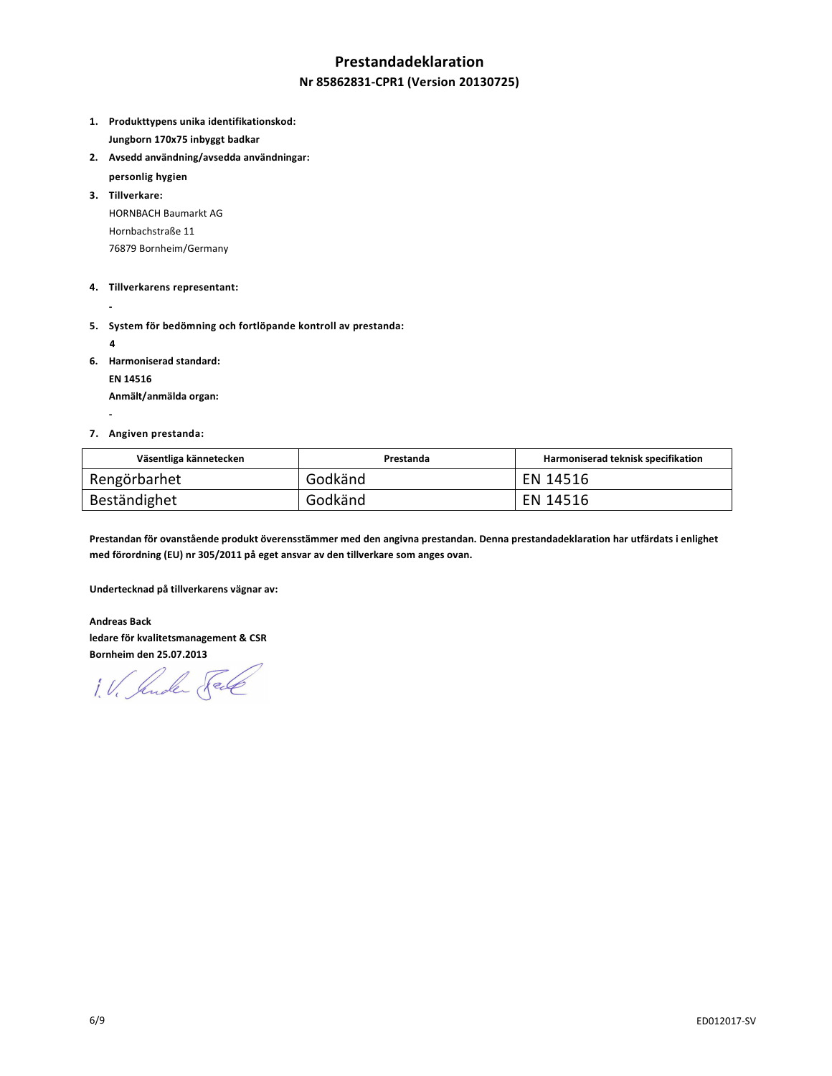## **Prestandadeklaration**

#### **Nr 85862831-CPR1 (Version 20130725)**

- **1. Produkttypens unika identifikationskod: Jungborn 170x75 inbyggt badkar**
- **2. Avsedd användning/avsedda användningar:** 
	- **personlig hygien**
- **3. Tillverkare:**  HORNBACH Baumarkt AG Hornbachstraße 11 76879 Bornheim/Germany
- **4. Tillverkarens representant:**
- 
- **5. System för bedömning och fortlöpande kontroll av prestanda:** 
	- **4**
- **6. Harmoniserad standard:**

 **EN 14516** 

 **Anmält/anmälda organ: -** 

#### **7. Angiven prestanda:**

| Väsentliga kännetecken | Prestanda | Harmoniserad teknisk specifikation |
|------------------------|-----------|------------------------------------|
| Rengörbarhet           | Godkänd   | EN 14516                           |
| Beständighet           | Godkänd   | EN 14516                           |

**Prestandan för ovanstående produkt överensstämmer med den angivna prestandan. Denna prestandadeklaration har utfärdats i enlighet med förordning (EU) nr 305/2011 på eget ansvar av den tillverkare som anges ovan.** 

**Undertecknad på tillverkarens vägnar av:** 

**Andreas Back ledare för kvalitetsmanagement & CSR Bornheim den 25.07.2013** 

1. V. Jude Sel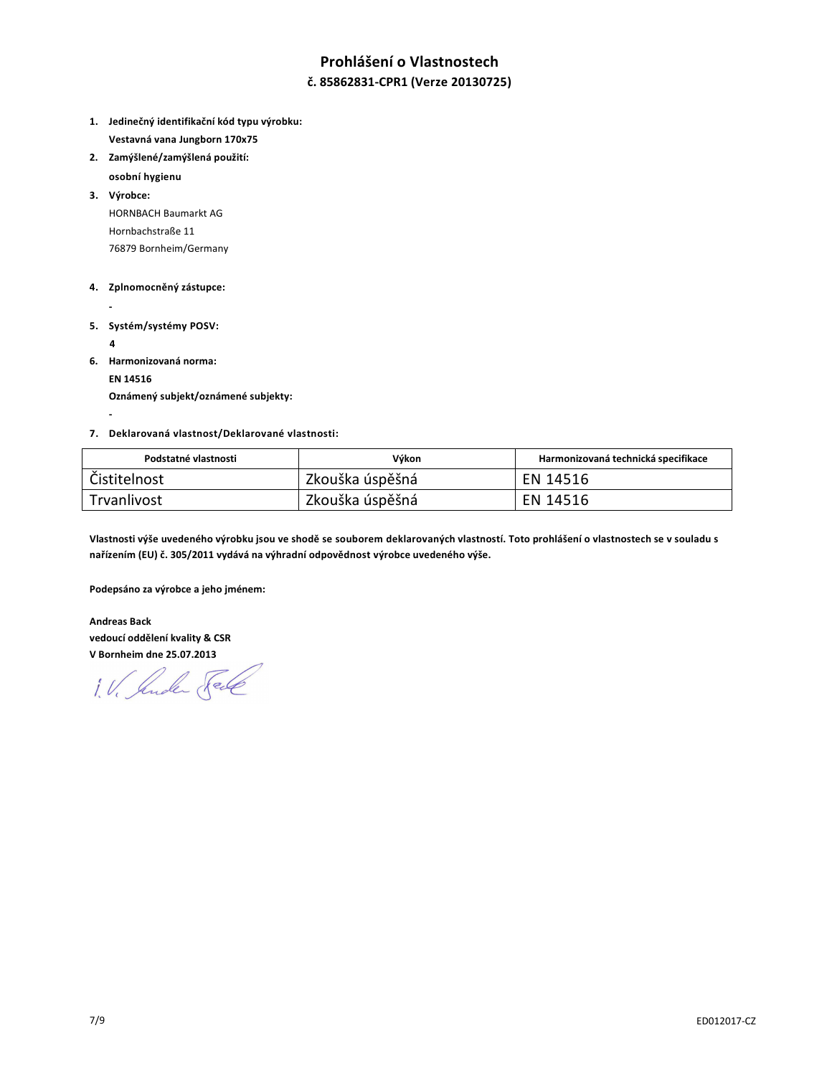# **Prohlášení o Vlastnostech**

### **č. 85862831-CPR1 (Verze 20130725)**

- **1. Jedinečný identifikační kód typu výrobku: Vestavná vana Jungborn 170x75**
- **2. Zamýšlené/zamýšlená použití:**
- **osobní hygienu**

**3. Výrobce:**  HORNBACH Baumarkt AG Hornbachstraße 11 76879 Bornheim/Germany

#### **4. Zplnomocněný zástupce:**

- 
- **5. Systém/systémy POSV:** 
	- **4**

 **-** 

**6. Harmonizovaná norma:** 

 **EN 14516** 

 **Oznámený subjekt/oznámené subjekty:** 

#### **7. Deklarovaná vlastnost/Deklarované vlastnosti:**

| Podstatné vlastnosti | Výkon           | Harmonizovaná technická specifikace |
|----------------------|-----------------|-------------------------------------|
| Čistitelnost         | Zkouška úspěšná | EN 14516                            |
| Trvanlivost          | Zkouška úspěšná | EN 14516                            |

**Vlastnosti výše uvedeného výrobku jsou ve shodě se souborem deklarovaných vlastností. Toto prohlášení o vlastnostech se v souladu s nařízením (EU) č. 305/2011 vydává na výhradní odpovědnost výrobce uvedeného výše.** 

**Podepsáno za výrobce a jeho jménem:** 

**Andreas Back vedoucí oddělení kvality & CSR V Bornheim dne 25.07.2013** 

1. V. Suder Sel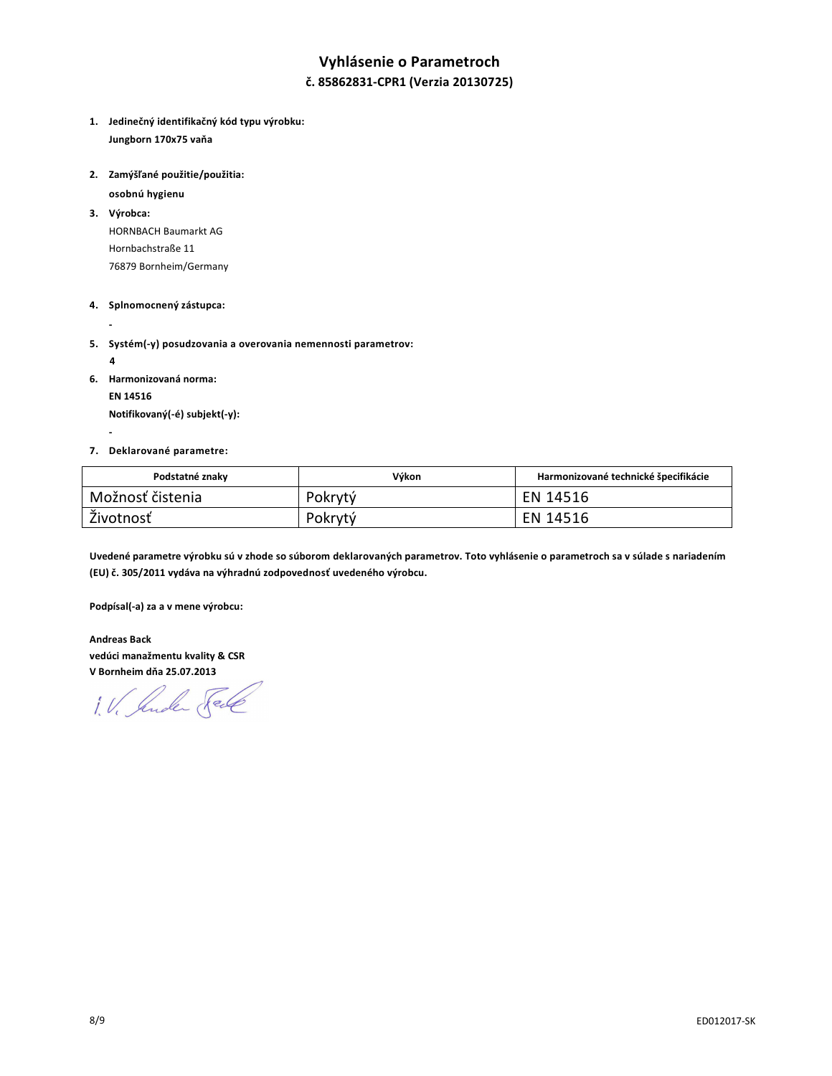# **Vyhlásenie o Parametroch**

### **č. 85862831-CPR1 (Verzia 20130725)**

**1. Jedinečný identifikačný kód typu výrobku: Jungborn 170x75 vaňa** 

**2. Zamýšľané použitie/použitia:** 

 **osobnú hygienu** 

**3. Výrobca:** 

HORNBACH Baumarkt AG Hornbachstraße 11 76879 Bornheim/Germany

#### **4. Splnomocnený zástupca:**

**5. Systém(-y) posudzovania a overovania nemennosti parametrov:** 

 **4** 

 **-** 

 **-** 

**6. Harmonizovaná norma:** 

 **EN 14516 Notifikovaný(-é) subjekt(-y):** 

**7. Deklarované parametre:** 

| Podstatné znaky  | Výkon   | Harmonizované technické špecifikácie |
|------------------|---------|--------------------------------------|
| Možnosť čistenia | Pokrytý | EN 14516                             |
| Životnosť        | Pokrytý | EN 14516                             |

**Uvedené parametre výrobku sú v zhode so súborom deklarovaných parametrov. Toto vyhlásenie o parametroch sa v súlade s nariadením (EU) č. 305/2011 vydáva na výhradnú zodpovednosť uvedeného výrobcu.** 

**Podpísal(-a) za a v mene výrobcu:** 

**Andreas Back vedúci manažmentu kvality & CSR V Bornheim dňa 25.07.2013** 

1. V. Suder Fell